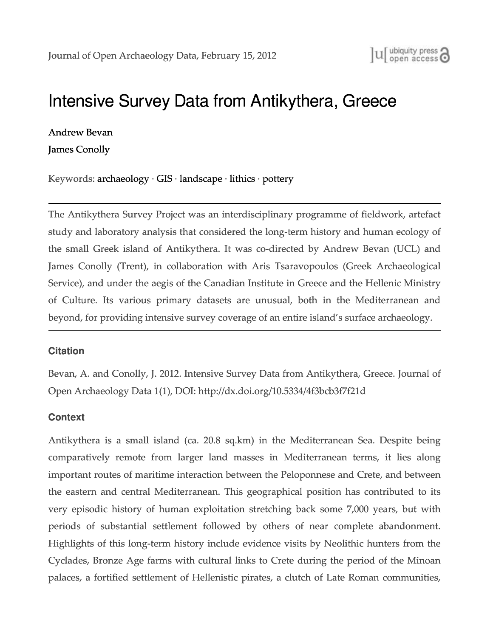# [Intensive Survey Data from Antikythera, Greece](http://openarchaeologydata.metajnl.com/article/intensive-survey-data-from-antikythera-greece/)

[Andrew](http://openarchaeologydata.metajnl.com/author/abevan/) [Bevan](http://openarchaeologydata.metajnl.com/author/abevan/)

[James](http://openarchaeologydata.metajnl.com/author/jamesconollytrentu-ca/) [Conolly](http://openarchaeologydata.metajnl.com/author/jamesconollytrentu-ca/)

Keywords: [archaeology](http://openarchaeologydata.metajnl.com/article_tag/archaeology/) ∙ [GIS](http://openarchaeologydata.metajnl.com/article_tag/gis/) ∙ [landscape](http://openarchaeologydata.metajnl.com/article_tag/landscape/) ∙ [lithics](http://openarchaeologydata.metajnl.com/article_tag/lithics/) ∙ [pottery](http://openarchaeologydata.metajnl.com/article_tag/pottery/)

The Antikythera Survey Project was an interdisciplinary programme of fieldwork, artefact study and laboratory analysis that considered the long‑term history and human ecology of the small Greek island of Antikythera. It was co-directed by Andrew Bevan (UCL) and James Conolly (Trent), in collaboration with Aris Tsaravopoulos (Greek Archaeological Service), and under the aegis of the Canadian Institute in Greece and the Hellenic Ministry of Culture. Its various primary datasets are unusual, both in the Mediterranean and beyond, for providing intensive survey coverage of an entire island's surface archaeology.

#### **Citation**

Bevan, A. and Conolly, J. 2012. Intensive Survey Data from Antikythera, Greece. Journal of Open Archaeology Data 1(1), DOI: http://dx.doi.org/10.5334/4f3bcb3f7f21d

## **Context**

Antikythera is a small island (ca. 20.8 sq.km) in the Mediterranean Sea. Despite being comparatively remote from larger land masses in Mediterranean terms, it lies along important routes of maritime interaction between the Peloponnese and Crete, and between the eastern and central Mediterranean. This geographical position has contributed to its very episodic history of human exploitation stretching back some 7,000 years, but with periods of substantial settlement followed by others of near complete abandonment. Highlights of this long‑term history include evidence visits by Neolithic hunters from the Cyclades, Bronze Age farms with cultural links to Crete during the period of the Minoan palaces, a fortified settlement of Hellenistic pirates, a clutch of Late Roman communities,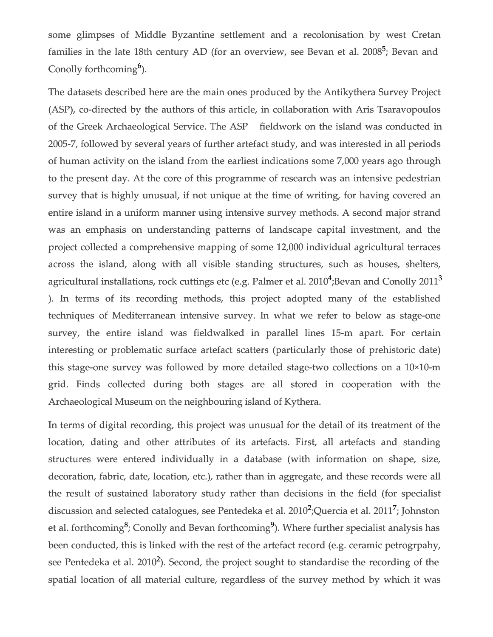some glimpses of Middle Byzantine settlement and a recolonisation by west Cretan families in the late 18th century AD (for an overview, see Bevan et al. 2008<sup>5</sup>; Bevan and Conolly forthcoming<sup>6</sup>).

The datasets described here are the main ones produced by the Antikythera Survey Project (ASP), co-directed by the authors of this article, in collaboration with Aris Tsaravopoulos of the Greek Archaeological Service. The ASP fieldwork on the island was conducted in 2005‑7, followed by several years of further artefact study, and was interested in all periods of human activity on the island from the earliest indications some 7,000 years ago through to the present day. At the core of this programme of research was an intensive pedestrian survey that is highly unusual, if not unique at the time of writing, for having covered an entire island in a uniform manner using intensive survey methods. A second major strand was an emphasis on understanding patterns of landscape capital investment, and the project collected a comprehensive mapping of some 12,000 individual agricultural terraces across the island, along with all visible standing structures, such as houses, shelters, agricultural installations, rock cuttings etc (e.g. Palmer et al. 2010<sup>4</sup>;Bevan and Conolly 2011<sup>3</sup> ). In terms of its recording methods, this project adopted many of the established techniques of Mediterranean intensive survey. In what we refer to below as stage-one survey, the entire island was fieldwalked in parallel lines 15-m apart. For certain interesting or problematic surface artefact scatters (particularly those of prehistoric date) this stage-one survey was followed by more detailed stage-two collections on a 10×10-m grid. Finds collected during both stages are all stored in cooperation with the Archaeological Museum on the neighbouring island of Kythera.

In terms of digital recording, this project was unusual for the detail of its treatment of the location, dating and other attributes of its artefacts. First, all artefacts and standing structures were entered individually in a database (with information on shape, size, decoration, fabric, date, location, etc.), rather than in aggregate, and these records were all the result of sustained laboratory study rather than decisions in the field (for specialist discussion and selected catalogues, see Pentedeka et al. 2010<sup>2</sup>; Quercia et al. 2011<sup>7</sup>; Johnston et al. forthcoming<sup>8</sup>; Conolly and Bevan forthcoming<sup>9</sup>). Where further specialist analysis has been conducted, this is linked with the rest of the artefact record (e.g. ceramic petrogrpahy, see Pentedeka et al. 2010<sup>2</sup>). Second, the project sought to standardise the recording of the spatial location of all material culture, regardless of the survey method by which it was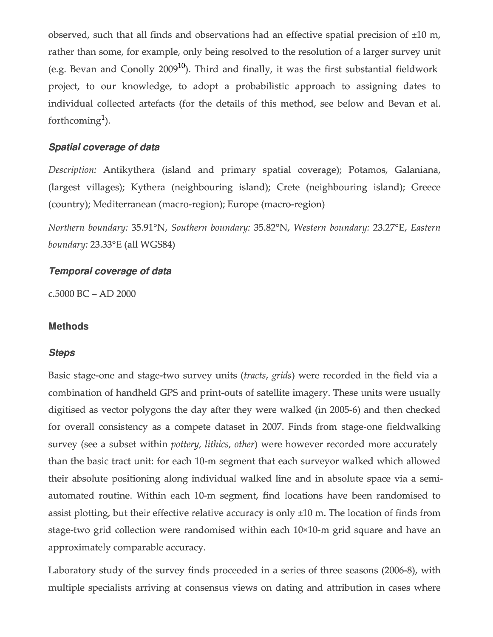observed, such that all finds and observations had an effective spatial precision of ±10 m, rather than some, for example, only being resolved to the resolution of a larger survey unit (e.g. Bevan and Conolly  $2009^{10}$ ). Third and finally, it was the first substantial fieldwork project, to our knowledge, to adopt a probabilistic approach to assigning dates to individual collected artefacts (for the details of this method, see below and Bevan et al. forthcoming<sup>1</sup>).

## *Spatial coverage of data*

*Description:* Antikythera (island and primary spatial coverage); Potamos, Galaniana, (largest villages); Kythera (neighbouring island); Crete (neighbouring island); Greece (country); Mediterranean (macro‑region); Europe (macro‑region)

*Northern boundary:* 35.91°N, *Southern boundary:* 35.82°N, *Western boundary:* 23.27°E, *Eastern boundary:* 23.33°E (all WGS84)

### *Temporal coverage of data*

c.5000 BC – AD 2000

#### **Methods**

#### *Steps*

Basic stage-one and stage-two survey units (*tracts*, *grids*) were recorded in the field via a combination of handheld GPS and print-outs of satellite imagery. These units were usually digitised as vector polygons the day after they were walked (in 2005‑6) and then checked for overall consistency as a compete dataset in 2007. Finds from stage-one fieldwalking survey (see a subset within *pottery*, *lithics*, *other*) were however recorded more accurately than the basic tract unit: for each 10‑m segment that each surveyor walked which allowed their absolute positioning along individual walked line and in absolute space via a semiautomated routine. Within each 10‑m segment, find locations have been randomised to assist plotting, but their effective relative accuracy is only ±10 m. The location of finds from stage-two grid collection were randomised within each 10×10-m grid square and have an approximately comparable accuracy.

Laboratory study of the survey finds proceeded in a series of three seasons (2006‑8), with multiple specialists arriving at consensus views on dating and attribution in cases where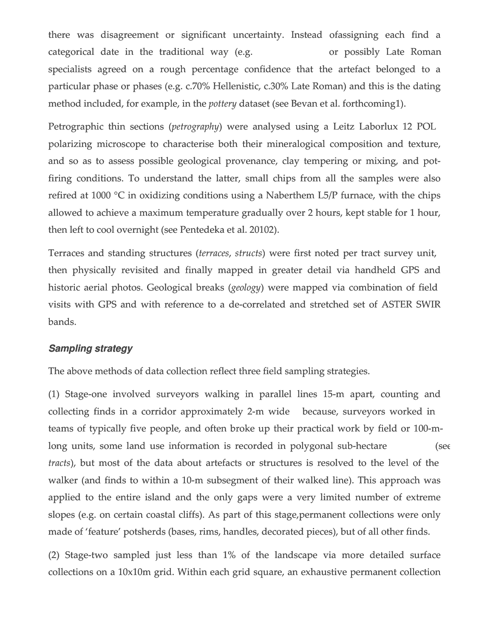there was disagreement or significant uncertainty. Instead ofassigning each find a categorical date in the traditional way (e.g. The same or possibly Late Roman specialists agreed on a rough percentage confidence that the artefact belonged to a particular phase or phases (e.g. c.70% Hellenistic, c.30% Late Roman) and this is the dating method included, for example, in the *pottery* dataset (see Bevan et al. forthcoming1).

Petrographic thin sections (*petrography*) were analysed using a Leitz Laborlux 12 POL polarizing microscope to characterise both their mineralogical composition and texture, and so as to assess possible geological provenance, clay tempering or mixing, and potfiring conditions. To understand the latter, small chips from all the samples were also refired at 1000 °C in oxidizing conditions using a Naberthem L5/P furnace, with the chips allowed to achieve a maximum temperature gradually over 2 hours, kept stable for 1 hour, then left to cool overnight (see Pentedeka et al. 20102).

Terraces and standing structures (*terraces*, *structs*) were first noted per tract survey unit, then physically revisited and finally mapped in greater detail via handheld GPS and historic aerial photos. Geological breaks (*geology*) were mapped via combination of field visits with GPS and with reference to a de‑correlated and stretched set of ASTER SWIR bands.

#### *Sampling strategy*

The above methods of data collection reflect three field sampling strategies.

(1) Stage‑one involved surveyors walking in parallel lines 15‑m apart, counting and collecting finds in a corridor approximately 2‑m wide because, surveyors worked in teams of typically five people, and often broke up their practical work by field or 100-mlong units, some land use information is recorded in polygonal sub-hectare (see *tracts*), but most of the data about artefacts or structures is resolved to the level of the walker (and finds to within a 10-m subsegment of their walked line). This approach was applied to the entire island and the only gaps were a very limited number of extreme slopes (e.g. on certain coastal cliffs). As part of this stage, permanent collections were only made of 'feature' potsherds (bases, rims, handles, decorated pieces), but of all other finds.

(2) Stage‑two sampled just less than 1% of the landscape via more detailed surface collections on a 10x10m grid. Within each grid square, an exhaustive permanent collection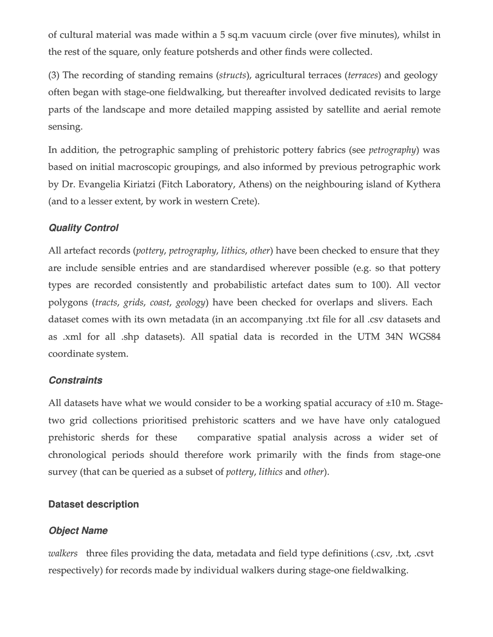of cultural material was made within a 5 sq.m vacuum circle (over five minutes), whilst in the rest of the square, only feature potsherds and other finds were collected.

(3) The recording of standing remains (*structs*), agricultural terraces (*terraces*) and geology often began with stage‑one fieldwalking, but thereafter involved dedicated revisits to large parts of the landscape and more detailed mapping assisted by satellite and aerial remote sensing.

In addition, the petrographic sampling of prehistoric pottery fabrics (see *petrography*) was based on initial macroscopic groupings, and also informed by previous petrographic work by Dr. Evangelia Kiriatzi (Fitch Laboratory, Athens) on the neighbouring island of Kythera (and to a lesser extent, by work in western Crete).

# *Quality Control*

All artefact records (*pottery*, *petrography*, *lithics*, *other*) have been checked to ensure that they are include sensible entries and are standardised wherever possible (e.g. so that pottery types are recorded consistently and probabilistic artefact dates sum to 100). All vector polygons (*tracts*, *grids*, *coast*, *geology*) have been checked for overlaps and slivers. Each dataset comes with its own metadata (in an accompanying .txt file for all .csv datasets and as .xml for all .shp datasets). All spatial data is recorded in the UTM 34N WGS84 coordinate system.

## *Constraints*

All datasets have what we would consider to be a working spatial accuracy of  $\pm 10$  m. Stagetwo grid collections prioritised prehistoric scatters and we have have only catalogued prehistoric sherds for these comparative spatial analysis across a wider set of chronological periods should therefore work primarily with the finds from stage-one survey (that can be queried as a subset of *pottery*, *lithics* and *other*).

## **Dataset description**

# *Object Name*

*walkers* three files providing the data, metadata and field type definitions (.csv, .txt, .csvt respectively) for records made by individual walkers during stage-one fieldwalking.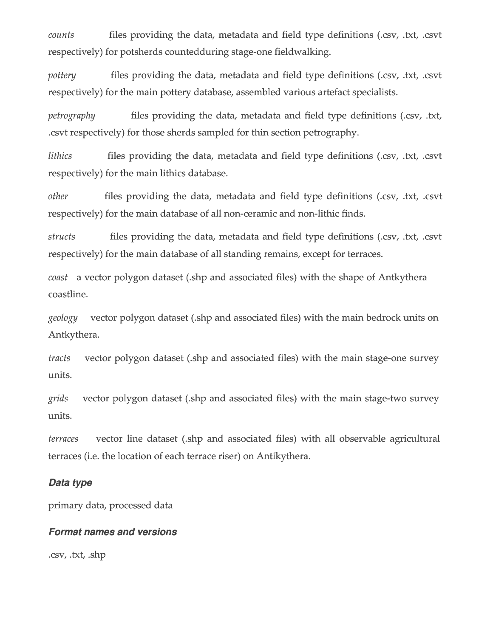*counts* files providing the data, metadata and field type definitions (.csv, .txt, .csvt respectively) for potsherds countedduring stage-one fieldwalking.

*pottery* files providing the data, metadata and field type definitions (.csv, .txt, .csvt respectively) for the main pottery database, assembled various artefact specialists.

*petrography* files providing the data, metadata and field type definitions (.csv, .txt, .csvt respectively) for those sherds sampled for thin section petrography.

*lithics* files providing the data, metadata and field type definitions (.csv, .txt, .csvt respectively) for the main lithics database.

*other* files providing the data, metadata and field type definitions (.csv, .txt, .csvt respectively) for the main database of all non-ceramic and non-lithic finds.

*structs* files providing the data, metadata and field type definitions (.csv, .txt, .csvt respectively) for the main database of all standing remains, except for terraces.

*coast* a vector polygon dataset (.shp and associated files) with the shape of Antkythera coastline.

*geology* vector polygon dataset (.shp and associated files) with the main bedrock units on Antkythera.

*tracts* vector polygon dataset (.shp and associated files) with the main stage-one survey units.

*grids* vector polygon dataset (.shp and associated files) with the main stage-two survey units.

*terraces* vector line dataset (.shp and associated files) with all observable agricultural terraces (i.e. the location of each terrace riser) on Antikythera.

#### *Data type*

primary data, processed data

#### *Format names and versions*

.csv, .txt, .shp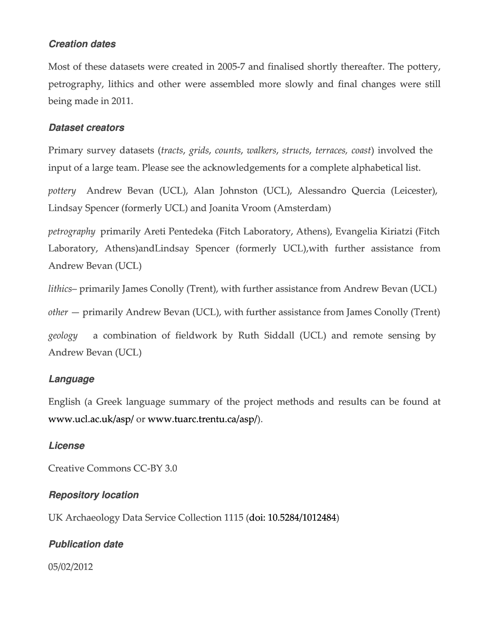## *Creation dates*

Most of these datasets were created in 2005‑7 and finalised shortly thereafter. The pottery, petrography, lithics and other were assembled more slowly and final changes were still being made in 2011.

## *Dataset creators*

Primary survey datasets (*tracts*, *grids*, *counts*, *walkers*, *structs*, *terraces, coast*) involved the input of a large team. Please see the acknowledgements for a complete alphabetical list.

*pottery* Andrew Bevan (UCL), Alan Johnston (UCL), Alessandro Quercia (Leicester), Lindsay Spencer (formerly UCL) and Joanita Vroom (Amsterdam)

*petrography* primarily Areti Pentedeka (Fitch Laboratory, Athens), Evangelia Kiriatzi (Fitch Laboratory, Athens)andLindsay Spencer (formerly UCL),with further assistance from Andrew Bevan (UCL)

*lithics*– primarily James Conolly (Trent), with further assistance from Andrew Bevan (UCL)

*other* — primarily Andrew Bevan (UCL), with further assistance from James Conolly (Trent)

*geology* a combination of fieldwork by Ruth Siddall (UCL) and remote sensing by Andrew Bevan (UCL)

# *Language*

English (a Greek language summary of the project methods and results can be found at [www.ucl.ac.uk/asp/](http://www.ucl.ac.uk/asp/) or [www.tuarc.trentu.ca/asp/\)](http://www.tuarc.trentu.ca/asp/).

## *License*

Creative Commons CC‑BY 3.0

# *Repository location*

UK Archaeology Data Service Collection 1115 ([doi: 10.5284/1012484\)](http://dx.doi.org/10.5284/1012484)

# *Publication date*

05/02/2012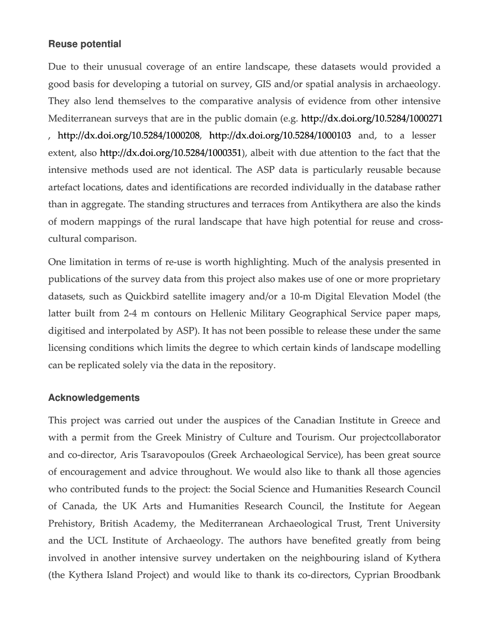### **Reuse potential**

Due to their unusual coverage of an entire landscape, these datasets would provided a good basis for developing a tutorial on survey, GIS and/or spatial analysis in archaeology. They also lend themselves to the comparative analysis of evidence from other intensive Mediterranean surveys that are in the public domain (e.g. <http://dx.doi.org/10.5284/1000271> , <http://dx.doi.org/10.5284/1000208>[, http://dx.doi.org/10.5284/100010](http://dx.doi.org/10.5284/1000103)3 and, to a lesser extent, also <http://dx.doi.org/10.5284/1000351>), albeit with due attention to the fact that the intensive methods used are not identical. The ASP data is particularly reusable because artefact locations, dates and identifications are recorded individually in the database rather than in aggregate. The standing structures and terraces from Antikythera are also the kinds of modern mappings of the rural landscape that have high potential for reuse and crosscultural comparison.

One limitation in terms of re‑use is worth highlighting. Much of the analysis presented in publications of the survey data from this project also makes use of one or more proprietary datasets, such as Quickbird satellite imagery and/or a 10‑m Digital Elevation Model (the latter built from 2-4 m contours on Hellenic Military Geographical Service paper maps, digitised and interpolated by ASP). It has not been possible to release these under the same licensing conditions which limits the degree to which certain kinds of landscape modelling can be replicated solely via the data in the repository.

#### **Acknowledgements**

This project was carried out under the auspices of the Canadian Institute in Greece and with a permit from the Greek Ministry of Culture and Tourism. Our project collaborator and co-director, Aris Tsaravopoulos (Greek Archaeological Service), has been great source of encouragement and advice throughout. We would also like to thank all those agencies who contributed funds to the project: the Social Science and Humanities Research Council of Canada, the UK Arts and Humanities Research Council, the Institute for Aegean Prehistory, British Academy, the Mediterranean Archaeological Trust, Trent University and the UCL Institute of Archaeology. The authors have benefited greatly from being involved in another intensive survey undertaken on the neighbouring island of Kythera (the Kythera Island Project) and would like to thank its co‑directors, Cyprian Broodbank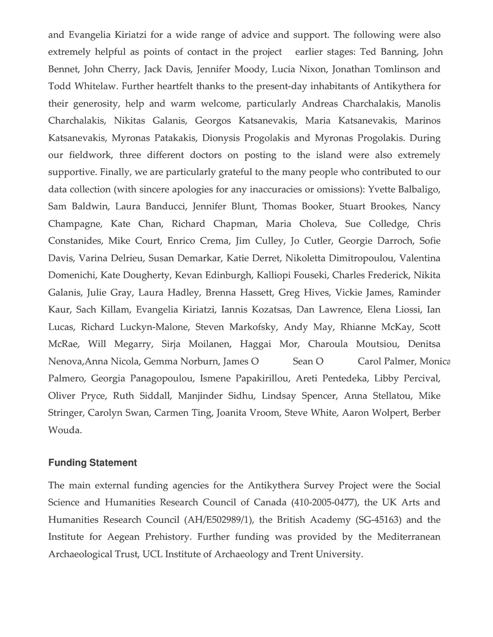and Evangelia Kiriatzi for a wide range of advice and support. The following were also extremely helpful as points of contact in the project earlier stages: Ted Banning, John Bennet, John Cherry, Jack Davis, Jennifer Moody, Lucia Nixon, Jonathan Tomlinson and Todd Whitelaw. Further heartfelt thanks to the present-day inhabitants of Antikythera for their generosity, help and warm welcome, particularly Andreas Charchalakis, Manolis Charchalakis, Nikitas Galanis, Georgos Katsanevakis, Maria Katsanevakis, Marinos Katsanevakis, Myronas Patakakis, Dionysis Progolakis and Myronas Progolakis. During our fieldwork, three different doctors on posting to the island were also extremely supportive. Finally, we are particularly grateful to the many people who contributed to our data collection (with sincere apologies for any inaccuracies or omissions): Yvette Balbaligo, Sam Baldwin, Laura Banducci, Jennifer Blunt, Thomas Booker, Stuart Brookes, Nancy Champagne, Kate Chan, Richard Chapman, Maria Choleva, Sue Colledge, Chris Constanides, Mike Court, Enrico Crema, Jim Culley, Jo Cutler, Georgie Darroch, Sofie Davis, Varina Delrieu, Susan Demarkar, Katie Derret, Nikoletta Dimitropoulou, Valentina Domenichi, Kate Dougherty, Kevan Edinburgh, Kalliopi Fouseki, Charles Frederick, Nikita Galanis, Julie Gray, Laura Hadley, Brenna Hassett, Greg Hives, Vickie James, Raminder Kaur, Sach Killam, Evangelia Kiriatzi, Iannis Kozatsas, Dan Lawrence, Elena Liossi, Ian Lucas, Richard Luckyn-Malone, Steven Markofsky, Andy May, Rhianne McKay, Scott McRae, Will Megarry, Sirja Moilanen, Haggai Mor, Charoula Moutsiou, Denitsa Nenova, Anna Nicola, Gemma Norburn, James O Sean O Carol Palmer, Monica Palmero, Georgia Panagopoulou, Ismene Papakirillou, Areti Pentedeka, Libby Percival, Oliver Pryce, Ruth Siddall, Manjinder Sidhu, Lindsay Spencer, Anna Stellatou, Mike Stringer, Carolyn Swan, Carmen Ting, Joanita Vroom, Steve White, Aaron Wolpert, Berber Wouda.

#### **Funding Statement**

The main external funding agencies for the Antikythera Survey Project were the Social Science and Humanities Research Council of Canada (410-2005-0477), the UK Arts and Humanities Research Council (AH/E502989/1), the British Academy (SG-45163) and the Institute for Aegean Prehistory. Further funding was provided by the Mediterranean Archaeological Trust, UCL Institute of Archaeology and Trent University.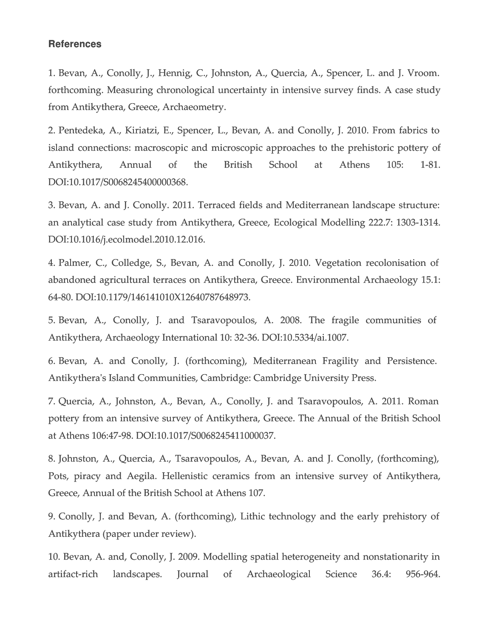#### **References**

1. Bevan, A., Conolly, J., Hennig, C., Johnston, A., Quercia, A., Spencer, L. and J. Vroom. forthcoming. Measuring chronological uncertainty in intensive survey finds. A case study from Antikythera, Greece, Archaeometry.

2. Pentedeka, A., Kiriatzi, E., Spencer, L., Bevan, A. and Conolly, J. 2010. From fabrics to island connections: macroscopic and microscopic approaches to the prehistoric pottery of Antikythera, Annual of the British School at Athens 105: 1-81. DOI:10.1017/S0068245400000368.

3. Bevan, A. and J. Conolly. 2011. Terraced fields and Mediterranean landscape structure: an analytical case study from Antikythera, Greece, Ecological Modelling 222.7: 1303‑1314. DOI:10.1016/j.ecolmodel.2010.12.016.

4. Palmer, C., Colledge, S., Bevan, A. and Conolly, J. 2010. Vegetation recolonisation of abandoned agricultural terraces on Antikythera, Greece. Environmental Archaeology 15.1: 64‑80. DOI:10.1179/146141010X12640787648973.

5. Bevan, A., Conolly, J. and Tsaravopoulos, A. 2008. The fragile communities of Antikythera, Archaeology International 10: 32‑36. DOI:10.5334/ai.1007.

6. Bevan, A. and Conolly, J. (forthcoming), Mediterranean Fragility and Persistence. Antikythera's Island Communities, Cambridge: Cambridge University Press.

7. Quercia, A., Johnston, A., Bevan, A., Conolly, J. and Tsaravopoulos, A. 2011. Roman pottery from an intensive survey of Antikythera, Greece. The Annual of the British School at Athens 106:47‑98. DOI:10.1017/S0068245411000037.

8. Johnston, A., Quercia, A., Tsaravopoulos, A., Bevan, A. and J. Conolly, (forthcoming), Pots, piracy and Aegila. Hellenistic ceramics from an intensive survey of Antikythera, Greece, Annual of the British School at Athens 107.

9. Conolly, J. and Bevan, A. (forthcoming), Lithic technology and the early prehistory of Antikythera (paper under review).

10. Bevan, A. and, Conolly, J. 2009. Modelling spatial heterogeneity and nonstationarity in artifact‑rich landscapes. Journal of Archaeological Science 36.4: 956‑964.